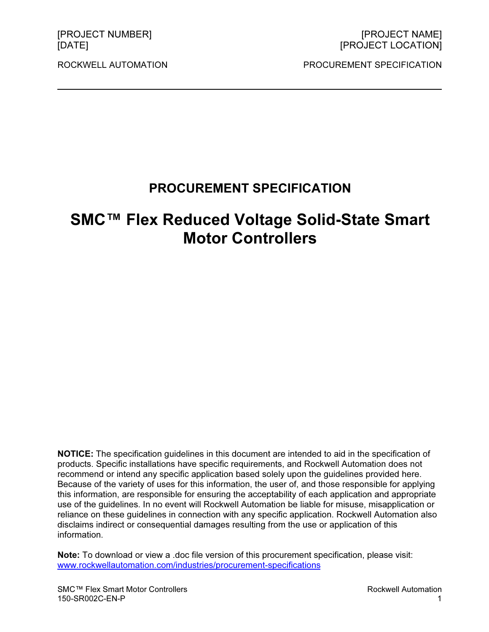ROCKWELL AUTOMATION PROCUREMENT SPECIFICATION

# PROCUREMENT SPECIFICATION

# SMC™ Flex Reduced Voltage Solid-State Smart Motor Controllers

NOTICE: The specification guidelines in this document are intended to aid in the specification of products. Specific installations have specific requirements, and Rockwell Automation does not recommend or intend any specific application based solely upon the guidelines provided here. Because of the variety of uses for this information, the user of, and those responsible for applying this information, are responsible for ensuring the acceptability of each application and appropriate use of the guidelines. In no event will Rockwell Automation be liable for misuse, misapplication or reliance on these guidelines in connection with any specific application. Rockwell Automation also disclaims indirect or consequential damages resulting from the use or application of this information.

Note: To download or view a .doc file version of this procurement specification, please visit: www.rockwellautomation.com/industries/procurement-specifications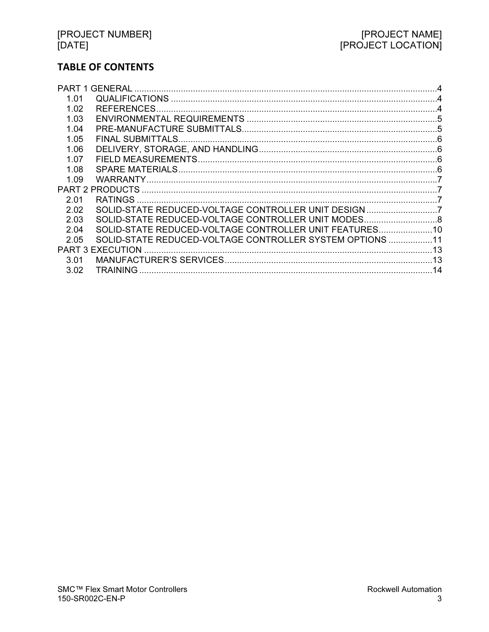# **TABLE OF CONTENTS**

| 1.01                    |                                                          |    |
|-------------------------|----------------------------------------------------------|----|
| 1.02                    |                                                          |    |
| 1.03                    |                                                          |    |
| 1.04                    |                                                          |    |
| 1.05                    |                                                          |    |
| 1.06                    |                                                          |    |
| 1.07                    |                                                          |    |
| 1.08                    |                                                          |    |
| 1.09                    |                                                          |    |
|                         |                                                          |    |
| 2.01                    |                                                          |    |
| 2.02                    | SOLID-STATE REDUCED-VOLTAGE CONTROLLER UNIT DESIGN 7     |    |
| 2.03                    | SOLID-STATE REDUCED-VOLTAGE CONTROLLER UNIT MODES 8      |    |
| 2.04                    | SOLID-STATE REDUCED-VOLTAGE CONTROLLER UNIT FEATURES 10  |    |
| 2.05                    | SOLID-STATE REDUCED-VOLTAGE CONTROLLER SYSTEM OPTIONS 11 |    |
| <b>PART 3 EXECUTION</b> |                                                          |    |
| 3.01                    |                                                          |    |
| 3.02                    |                                                          | 14 |
|                         |                                                          |    |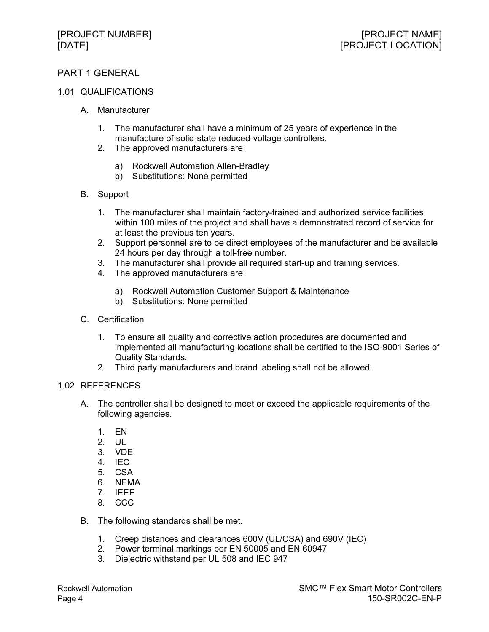# PART 1 GENERAL

#### 1.01 QUALIFICATIONS

- A. Manufacturer
	- 1. The manufacturer shall have a minimum of 25 years of experience in the manufacture of solid-state reduced-voltage controllers.
	- 2. The approved manufacturers are:
		- a) Rockwell Automation Allen-Bradley
		- b) Substitutions: None permitted
- B. Support
	- 1. The manufacturer shall maintain factory-trained and authorized service facilities within 100 miles of the project and shall have a demonstrated record of service for at least the previous ten years.
	- 2. Support personnel are to be direct employees of the manufacturer and be available 24 hours per day through a toll-free number.
	- 3. The manufacturer shall provide all required start-up and training services.
	- 4. The approved manufacturers are:
		- a) Rockwell Automation Customer Support & Maintenance
		- b) Substitutions: None permitted
- C. Certification
	- 1. To ensure all quality and corrective action procedures are documented and implemented all manufacturing locations shall be certified to the ISO-9001 Series of Quality Standards.
	- 2. Third party manufacturers and brand labeling shall not be allowed.

#### 1.02 REFERENCES

- A. The controller shall be designed to meet or exceed the applicable requirements of the following agencies.
	- 1. EN
	- 2. UL
	- 3. VDE
	- 4. IEC
	- 5. CSA
	- 6. NEMA
	- 7. IEEE
	- 8. CCC
- B. The following standards shall be met.
	- 1. Creep distances and clearances 600V (UL/CSA) and 690V (IEC)
	- 2. Power terminal markings per EN 50005 and EN 60947
	- 3. Dielectric withstand per UL 508 and IEC 947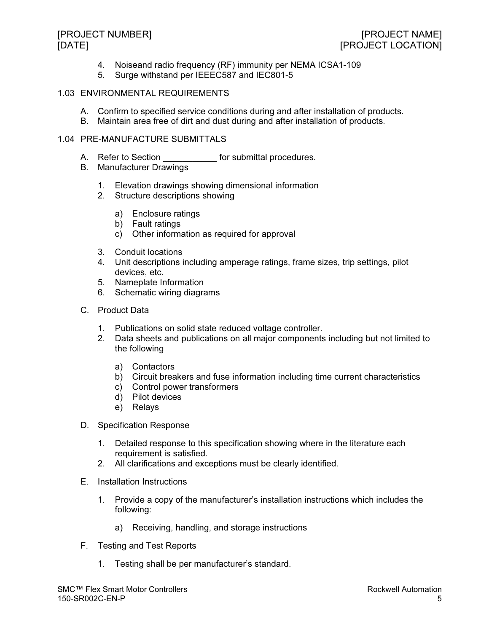- 4. Noiseand radio frequency (RF) immunity per NEMA ICSA1-109
- 5. Surge withstand per IEEEC587 and IEC801-5

### 1.03 ENVIRONMENTAL REQUIREMENTS

- A. Confirm to specified service conditions during and after installation of products.
- B. Maintain area free of dirt and dust during and after installation of products.

### 1.04 PRE-MANUFACTURE SUBMITTALS

- A. Refer to Section **Exercise Section** for submittal procedures.
- B. Manufacturer Drawings
	- 1. Elevation drawings showing dimensional information
	- 2. Structure descriptions showing
		- a) Enclosure ratings
		- b) Fault ratings
		- c) Other information as required for approval
	- 3. Conduit locations
	- 4. Unit descriptions including amperage ratings, frame sizes, trip settings, pilot devices, etc.
	- 5. Nameplate Information
	- 6. Schematic wiring diagrams
- C. Product Data
	- 1. Publications on solid state reduced voltage controller.
	- 2. Data sheets and publications on all major components including but not limited to the following
		- a) Contactors
		- b) Circuit breakers and fuse information including time current characteristics
		- c) Control power transformers
		- d) Pilot devices
		- e) Relays
- D. Specification Response
	- 1. Detailed response to this specification showing where in the literature each requirement is satisfied.
	- 2. All clarifications and exceptions must be clearly identified.
- E. Installation Instructions
	- 1. Provide a copy of the manufacturer's installation instructions which includes the following:
		- a) Receiving, handling, and storage instructions
- F. Testing and Test Reports
	- 1. Testing shall be per manufacturer's standard.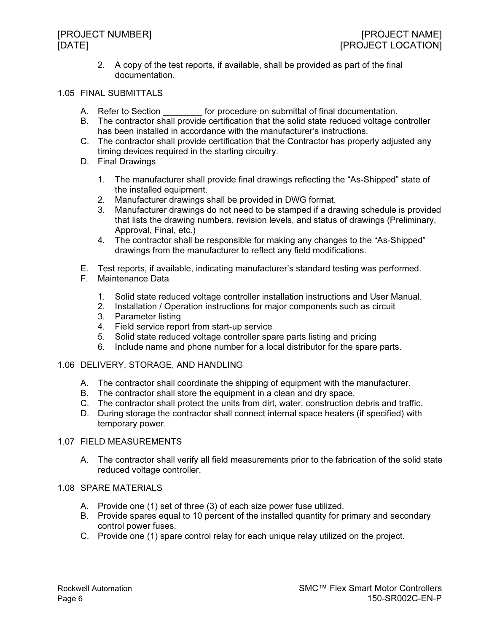2. A copy of the test reports, if available, shall be provided as part of the final documentation.

#### 1.05 FINAL SUBMITTALS

- A. Refer to Section **Example 20** for procedure on submittal of final documentation.
- B. The contractor shall provide certification that the solid state reduced voltage controller has been installed in accordance with the manufacturer's instructions.
- C. The contractor shall provide certification that the Contractor has properly adjusted any timing devices required in the starting circuitry.
- D. Final Drawings
	- 1. The manufacturer shall provide final drawings reflecting the "As-Shipped" state of the installed equipment.
	- 2. Manufacturer drawings shall be provided in DWG format.
	- 3. Manufacturer drawings do not need to be stamped if a drawing schedule is provided that lists the drawing numbers, revision levels, and status of drawings (Preliminary, Approval, Final, etc.)
	- 4. The contractor shall be responsible for making any changes to the "As-Shipped" drawings from the manufacturer to reflect any field modifications.
- E. Test reports, if available, indicating manufacturer's standard testing was performed.
- F. Maintenance Data
	- 1. Solid state reduced voltage controller installation instructions and User Manual.
	- 2. Installation / Operation instructions for major components such as circuit
	- 3. Parameter listing
	- 4. Field service report from start-up service
	- 5. Solid state reduced voltage controller spare parts listing and pricing
	- 6. Include name and phone number for a local distributor for the spare parts.

#### 1.06 DELIVERY, STORAGE, AND HANDLING

- A. The contractor shall coordinate the shipping of equipment with the manufacturer.
- B. The contractor shall store the equipment in a clean and dry space.
- C. The contractor shall protect the units from dirt, water, construction debris and traffic.
- D. During storage the contractor shall connect internal space heaters (if specified) with temporary power.

#### 1.07 FIELD MEASUREMENTS

A. The contractor shall verify all field measurements prior to the fabrication of the solid state reduced voltage controller.

### 1.08 SPARE MATERIALS

- A. Provide one (1) set of three (3) of each size power fuse utilized.
- B. Provide spares equal to 10 percent of the installed quantity for primary and secondary control power fuses.
- C. Provide one (1) spare control relay for each unique relay utilized on the project.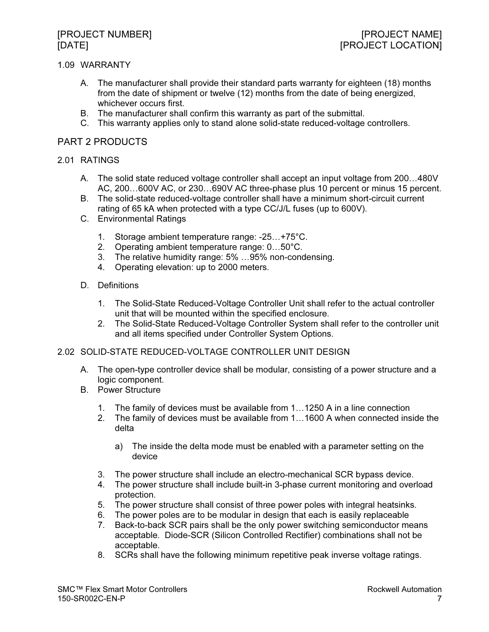### 1.09 WARRANTY

- A. The manufacturer shall provide their standard parts warranty for eighteen (18) months from the date of shipment or twelve (12) months from the date of being energized, whichever occurs first.
- B. The manufacturer shall confirm this warranty as part of the submittal.
- C. This warranty applies only to stand alone solid-state reduced-voltage controllers.

# PART 2 PRODUCTS

### 2.01 RATINGS

- A. The solid state reduced voltage controller shall accept an input voltage from 200-480V AC, 200...600V AC, or 230...690V AC three-phase plus 10 percent or minus 15 percent.
- B. The solid-state reduced-voltage controller shall have a minimum short-circuit current rating of 65 kA when protected with a type CC/J/L fuses (up to 600V).
- C. Environmental Ratings
	- 1. Storage ambient temperature range: -25-+75°C.
	- 2. Operating ambient temperature range: 0...50°C.
	- 3. The relative humidity range: 5% -95% non-condensing.
	- 4. Operating elevation: up to 2000 meters.
- D. Definitions
	- 1. The Solid-State Reduced-Voltage Controller Unit shall refer to the actual controller unit that will be mounted within the specified enclosure.
	- 2. The Solid-State Reduced-Voltage Controller System shall refer to the controller unit and all items specified under Controller System Options.

### 2.02 SOLID-STATE REDUCED-VOLTAGE CONTROLLER UNIT DESIGN

- A. The open-type controller device shall be modular, consisting of a power structure and a logic component.
- B. Power Structure
	- 1. The family of devices must be available from 1-1250 A in a line connection
	- 2. The family of devices must be available from 1...1600 A when connected inside the delta
		- a) The inside the delta mode must be enabled with a parameter setting on the device
	- 3. The power structure shall include an electro-mechanical SCR bypass device.
	- 4. The power structure shall include built-in 3-phase current monitoring and overload protection.
	- 5. The power structure shall consist of three power poles with integral heatsinks.
	- 6. The power poles are to be modular in design that each is easily replaceable
	- 7. Back-to-back SCR pairs shall be the only power switching semiconductor means acceptable. Diode-SCR (Silicon Controlled Rectifier) combinations shall not be acceptable.
	- 8. SCRs shall have the following minimum repetitive peak inverse voltage ratings.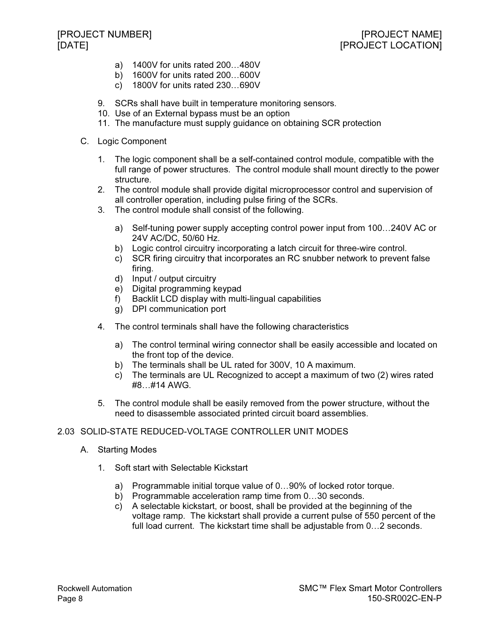- a) 1400V for units rated 200-480V
- b) 1600V for units rated 200...600V
- c) 1800V for units rated 230-690V
- 9. SCRs shall have built in temperature monitoring sensors.
- 10. Use of an External bypass must be an option
- 11. The manufacture must supply guidance on obtaining SCR protection
- C. Logic Component
	- 1. The logic component shall be a self-contained control module, compatible with the full range of power structures. The control module shall mount directly to the power structure.
	- 2. The control module shall provide digital microprocessor control and supervision of all controller operation, including pulse firing of the SCRs.
	- 3. The control module shall consist of the following.
		- a) Self-tuning power supply accepting control power input from 100...240V AC or 24V AC/DC, 50/60 Hz.
		- b) Logic control circuitry incorporating a latch circuit for three-wire control.
		- c) SCR firing circuitry that incorporates an RC snubber network to prevent false firing.
		- d) Input / output circuitry
		- e) Digital programming keypad
		- f) Backlit LCD display with multi-lingual capabilities
		- g) DPI communication port
	- 4. The control terminals shall have the following characteristics
		- a) The control terminal wiring connector shall be easily accessible and located on the front top of the device.
		- b) The terminals shall be UL rated for 300V, 10 A maximum.
		- c) The terminals are UL Recognized to accept a maximum of two (2) wires rated #8-#14 AWG.
	- 5. The control module shall be easily removed from the power structure, without the need to disassemble associated printed circuit board assemblies.

# 2.03 SOLID-STATE REDUCED-VOLTAGE CONTROLLER UNIT MODES

- A. Starting Modes
	- 1. Soft start with Selectable Kickstart
		- a) Programmable initial torque value of 0...90% of locked rotor torque.
		- b) Programmable acceleration ramp time from 0...30 seconds.
		- c) A selectable kickstart, or boost, shall be provided at the beginning of the voltage ramp. The kickstart shall provide a current pulse of 550 percent of the full load current. The kickstart time shall be adjustable from 0...2 seconds.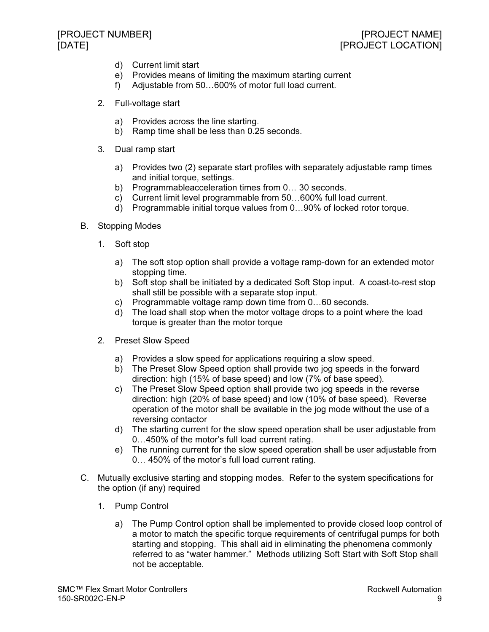- d) Current limit start
- e) Provides means of limiting the maximum starting current
- f) Adjustable from 50-600% of motor full load current.
- 2. Full-voltage start
	- a) Provides across the line starting.
	- b) Ramp time shall be less than 0.25 seconds.
- 3. Dual ramp start
	- a) Provides two (2) separate start profiles with separately adjustable ramp times and initial torque, settings.
	- b) Programmableacceleration times from 0... 30 seconds.
	- c) Current limit level programmable from 50-600% full load current.
	- d) Programmable initial torque values from 0...90% of locked rotor torque.
- B. Stopping Modes
	- 1. Soft stop
		- a) The soft stop option shall provide a voltage ramp-down for an extended motor stopping time.
		- b) Soft stop shall be initiated by a dedicated Soft Stop input. A coast-to-rest stop shall still be possible with a separate stop input.
		- c) Programmable voltage ramp down time from 0...60 seconds.
		- d) The load shall stop when the motor voltage drops to a point where the load torque is greater than the motor torque
	- 2. Preset Slow Speed
		- a) Provides a slow speed for applications requiring a slow speed.
		- b) The Preset Slow Speed option shall provide two jog speeds in the forward direction: high (15% of base speed) and low (7% of base speed).
		- c) The Preset Slow Speed option shall provide two jog speeds in the reverse direction: high (20% of base speed) and low (10% of base speed). Reverse operation of the motor shall be available in the jog mode without the use of a reversing contactor
		- d) The starting current for the slow speed operation shall be user adjustable from 0-450% of the motor's full load current rating.
		- e) The running current for the slow speed operation shall be user adjustable from 0- 450% of the motor's full load current rating.
- C. Mutually exclusive starting and stopping modes. Refer to the system specifications for the option (if any) required
	- 1. Pump Control
		- a) The Pump Control option shall be implemented to provide closed loop control of a motor to match the specific torque requirements of centrifugal pumps for both starting and stopping. This shall aid in eliminating the phenomena commonly referred to as "water hammer." Methods utilizing Soft Start with Soft Stop shall not be acceptable.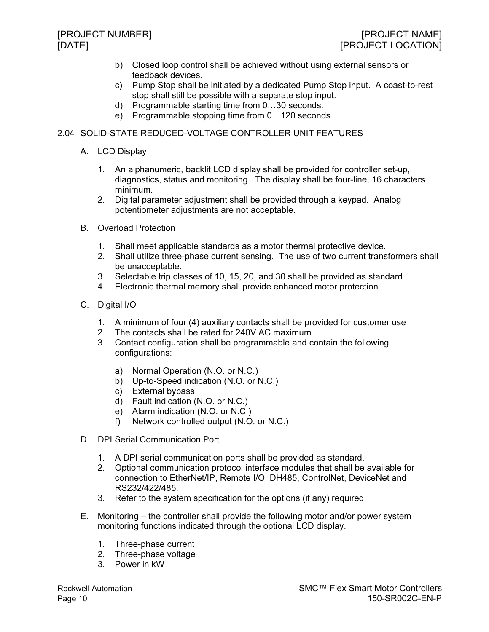- b) Closed loop control shall be achieved without using external sensors or feedback devices.
- c) Pump Stop shall be initiated by a dedicated Pump Stop input. A coast-to-rest stop shall still be possible with a separate stop input.
- d) Programmable starting time from 0-30 seconds.
- e) Programmable stopping time from 0...120 seconds.

# 2.04 SOLID-STATE REDUCED-VOLTAGE CONTROLLER UNIT FEATURES

- A. LCD Display
	- 1. An alphanumeric, backlit LCD display shall be provided for controller set-up, diagnostics, status and monitoring. The display shall be four-line, 16 characters minimum.
	- 2. Digital parameter adjustment shall be provided through a keypad. Analog potentiometer adjustments are not acceptable.
- B. Overload Protection
	- 1. Shall meet applicable standards as a motor thermal protective device.
	- 2. Shall utilize three-phase current sensing. The use of two current transformers shall be unacceptable.
	- 3. Selectable trip classes of 10, 15, 20, and 30 shall be provided as standard.
	- 4. Electronic thermal memory shall provide enhanced motor protection.
- C. Digital I/O
	- 1. A minimum of four (4) auxiliary contacts shall be provided for customer use
	- 2. The contacts shall be rated for 240V AC maximum.
	- 3. Contact configuration shall be programmable and contain the following configurations:
		- a) Normal Operation (N.O. or N.C.)
		- b) Up-to-Speed indication (N.O. or N.C.)
		- c) External bypass
		- d) Fault indication (N.O. or N.C.)
		- e) Alarm indication (N.O. or N.C.)
		- f) Network controlled output (N.O. or N.C.)
- D. DPI Serial Communication Port
	- 1. A DPI serial communication ports shall be provided as standard.
	- 2. Optional communication protocol interface modules that shall be available for connection to EtherNet/IP, Remote I/O, DH485, ControlNet, DeviceNet and RS232/422/485.
	- 3. Refer to the system specification for the options (if any) required.
- E. Monitoring the controller shall provide the following motor and/or power system monitoring functions indicated through the optional LCD display.
	- 1. Three-phase current
	- 2. Three-phase voltage
	- 3. Power in kW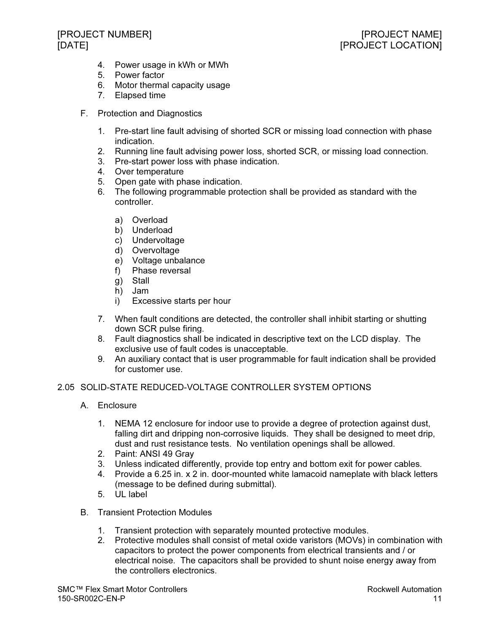- 4. Power usage in kWh or MWh
- 5. Power factor
- 6. Motor thermal capacity usage
- 7. Elapsed time
- F. Protection and Diagnostics
	- 1. Pre-start line fault advising of shorted SCR or missing load connection with phase indication.
	- 2. Running line fault advising power loss, shorted SCR, or missing load connection.
	- 3. Pre-start power loss with phase indication.
	- 4. Over temperature
	- 5. Open gate with phase indication.
	- 6. The following programmable protection shall be provided as standard with the controller.
		- a) Overload
		- b) Underload
		- c) Undervoltage
		- d) Overvoltage
		- e) Voltage unbalance
		- f) Phase reversal
		- g) Stall
		- h) Jam
		- i) Excessive starts per hour
	- 7. When fault conditions are detected, the controller shall inhibit starting or shutting down SCR pulse firing.
	- 8. Fault diagnostics shall be indicated in descriptive text on the LCD display. The exclusive use of fault codes is unacceptable.
	- 9. An auxiliary contact that is user programmable for fault indication shall be provided for customer use.

# 2.05 SOLID-STATE REDUCED-VOLTAGE CONTROLLER SYSTEM OPTIONS

- A. Enclosure
	- 1. NEMA 12 enclosure for indoor use to provide a degree of protection against dust, falling dirt and dripping non-corrosive liquids. They shall be designed to meet drip, dust and rust resistance tests. No ventilation openings shall be allowed.
	- 2. Paint: ANSI 49 Gray
	- 3. Unless indicated differently, provide top entry and bottom exit for power cables.
	- 4. Provide a 6.25 in. x 2 in. door-mounted white lamacoid nameplate with black letters (message to be defined during submittal).
	- 5. UL label
- B. Transient Protection Modules
	- 1. Transient protection with separately mounted protective modules.
	- 2. Protective modules shall consist of metal oxide varistors (MOVs) in combination with capacitors to protect the power components from electrical transients and / or electrical noise. The capacitors shall be provided to shunt noise energy away from the controllers electronics.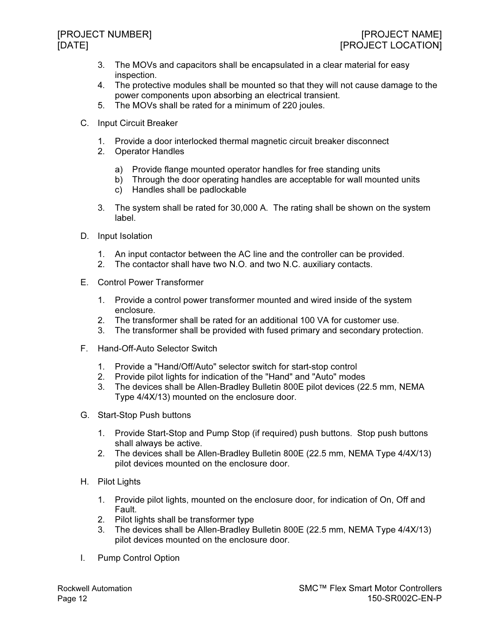- 3. The MOVs and capacitors shall be encapsulated in a clear material for easy inspection.
- 4. The protective modules shall be mounted so that they will not cause damage to the power components upon absorbing an electrical transient.
- 5. The MOVs shall be rated for a minimum of 220 joules.
- C. Input Circuit Breaker
	- 1. Provide a door interlocked thermal magnetic circuit breaker disconnect
	- 2. Operator Handles
		- a) Provide flange mounted operator handles for free standing units
		- b) Through the door operating handles are acceptable for wall mounted units
		- c) Handles shall be padlockable
	- 3. The system shall be rated for 30,000 A. The rating shall be shown on the system label.
- D. Input Isolation
	- 1. An input contactor between the AC line and the controller can be provided.
	- 2. The contactor shall have two N.O. and two N.C. auxiliary contacts.
- E. Control Power Transformer
	- 1. Provide a control power transformer mounted and wired inside of the system enclosure.
	- 2. The transformer shall be rated for an additional 100 VA for customer use.
	- 3. The transformer shall be provided with fused primary and secondary protection.
- F. Hand-Off-Auto Selector Switch
	- 1. Provide a "Hand/Off/Auto" selector switch for start-stop control
	- 2. Provide pilot lights for indication of the "Hand" and "Auto" modes
	- 3. The devices shall be Allen-Bradley Bulletin 800E pilot devices (22.5 mm, NEMA Type 4/4X/13) mounted on the enclosure door.
- G. Start-Stop Push buttons
	- 1. Provide Start-Stop and Pump Stop (if required) push buttons. Stop push buttons shall always be active.
	- 2. The devices shall be Allen-Bradley Bulletin 800E (22.5 mm, NEMA Type 4/4X/13) pilot devices mounted on the enclosure door.
- H. Pilot Lights
	- 1. Provide pilot lights, mounted on the enclosure door, for indication of On, Off and Fault.
	- 2. Pilot lights shall be transformer type
	- 3. The devices shall be Allen-Bradley Bulletin 800E (22.5 mm, NEMA Type 4/4X/13) pilot devices mounted on the enclosure door.
- I. Pump Control Option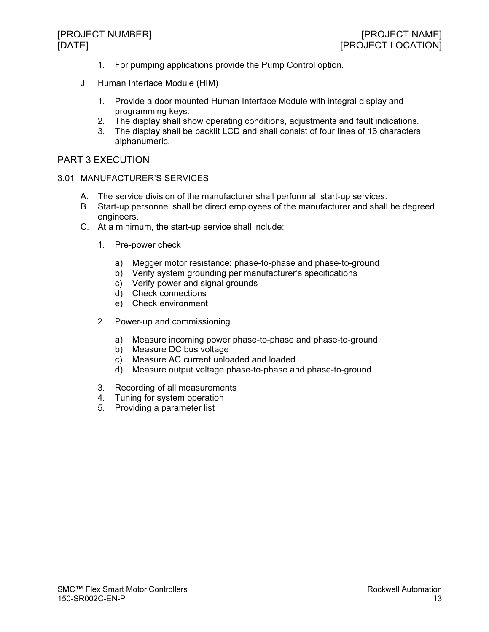- 1. For pumping applications provide the Pump Control option.
- J. Human Interface Module (HIM)
	- 1. Provide a door mounted Human Interface Module with integral display and programming keys.
	- 2. The display shall show operating conditions, adjustments and fault indications.<br>3. The display shall be backlit LCD and shall consist of four lines of 16 characters
	- The display shall be backlit LCD and shall consist of four lines of 16 characters alphanumeric.

# PART 3 EXECUTION

#### 3.01 MANUFACTURER'S SERVICES

- A. The service division of the manufacturer shall perform all start-up services.
- B. Start-up personnel shall be direct employees of the manufacturer and shall be degreed engineers.
- C. At a minimum, the start-up service shall include:
	- 1. Pre-power check
		- a) Megger motor resistance: phase-to-phase and phase-to-ground
		- b) Verify system grounding per manufacturer's specifications
		- c) Verify power and signal grounds
		- d) Check connections
		- e) Check environment
	- 2. Power-up and commissioning
		- a) Measure incoming power phase-to-phase and phase-to-ground
		- b) Measure DC bus voltage
		- c) Measure AC current unloaded and loaded
		- d) Measure output voltage phase-to-phase and phase-to-ground
	- 3. Recording of all measurements
	- 4. Tuning for system operation
	- 5. Providing a parameter list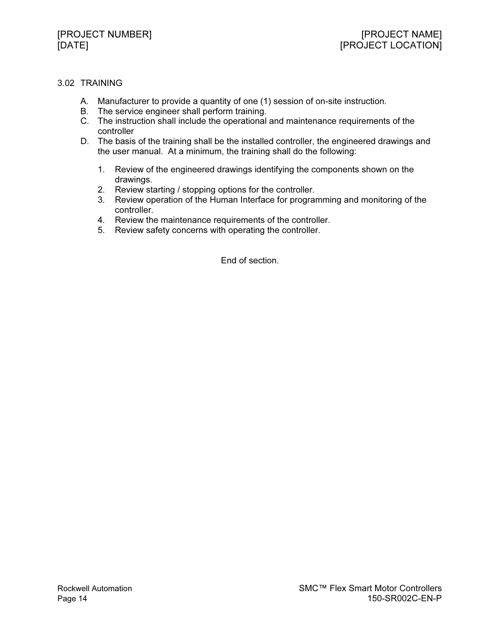# 3.02 TRAINING

- A. Manufacturer to provide a quantity of one (1) session of on-site instruction.
- B. The service engineer shall perform training.
- C. The instruction shall include the operational and maintenance requirements of the controller
- D. The basis of the training shall be the installed controller, the engineered drawings and the user manual. At a minimum, the training shall do the following:
	- 1. Review of the engineered drawings identifying the components shown on the drawings.
	- 2. Review starting / stopping options for the controller.
	- 3. Review operation of the Human Interface for programming and monitoring of the controller.
	- 4. Review the maintenance requirements of the controller.
	- 5. Review safety concerns with operating the controller.

End of section.